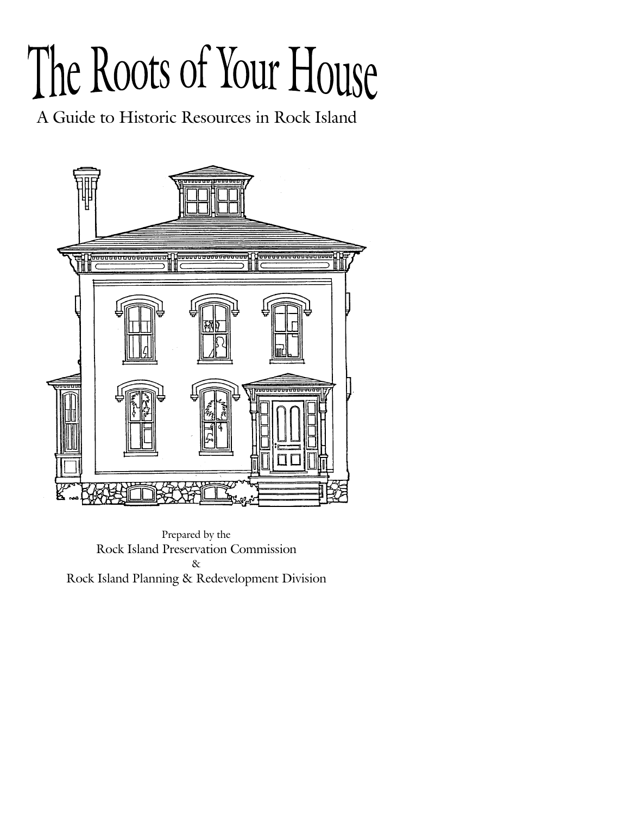# The Roots of Your House

A Guide to Historic Resources in Rock Island



Prepared by the Rock Island Preservation Commission & Rock Island Planning & Redevelopment Division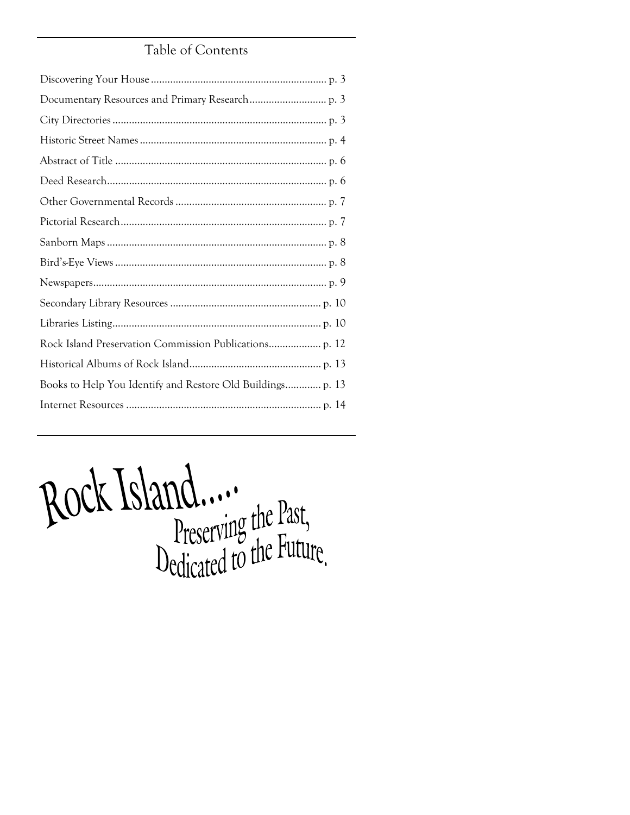# Table of Contents

Rock Island.......<br>Preserving the Past,<br>Dedicated to the Future.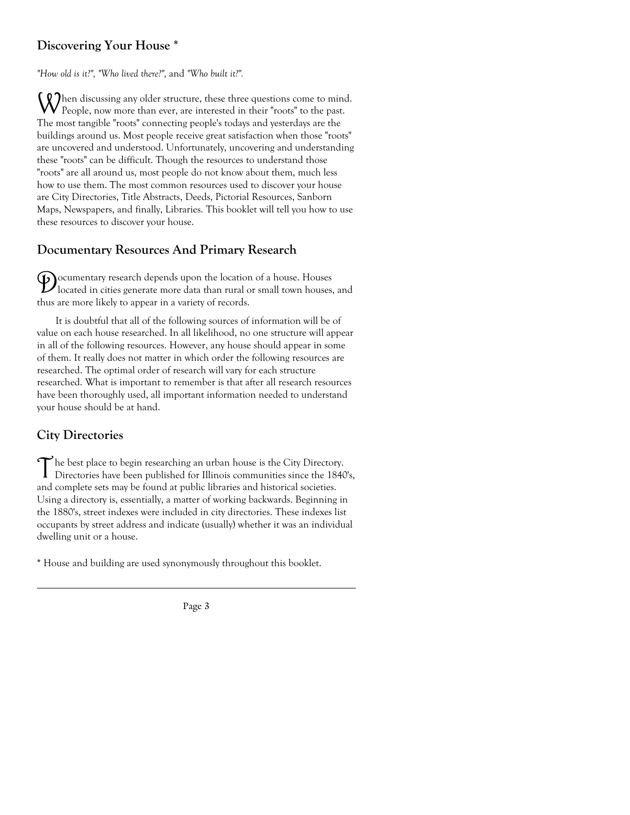# **Discovering Your House \***

*"How old is it?", "Who lived there?",* and *"Who built it?".* 

When discussing any older structure, these three questions come to mind.  $\mathbf V$  People, now more than ever, are interested in their "roots" to the past. The most tangible "roots" connecting people's todays and yesterdays are the buildings around us. Most people receive great satisfaction when those "roots" are uncovered and understood. Unfortunately, uncovering and understanding these "roots" can be difficult. Though the resources to understand those "roots" are all around us, most people do not know about them, much less how to use them. The most common resources used to discover your house are City Directories, Title Abstracts, Deeds, Pictorial Resources, Sanborn Maps, Newspapers, and finally, Libraries. This booklet will tell you how to use these resources to discover your house.

# **Documentary Resources And Primary Research**

 $\mathcal{D}_{\text{located in cities sense}}$  depends upon the location of a house. Houses located in cities generate more data than rural or small town houses, and thus are more likely to appear in a variety of records.

 It is doubtful that all of the following sources of information will be of value on each house researched. In all likelihood, no one structure will appear in all of the following resources. However, any house should appear in some of them. It really does not matter in which order the following resources are researched. The optimal order of research will vary for each structure researched. What is important to remember is that after all research resources have been thoroughly used, all important information needed to understand your house should be at hand.

# **City Directories**

The best place to begin researching an urban house is the City Directory.<br>Directories have been published for Illinois communities since the 1840's, and complete sets may be found at public libraries and historical societies. Using a directory is, essentially, a matter of working backwards. Beginning in the 1880's, street indexes were included in city directories. These indexes list occupants by street address and indicate (usually) whether it was an individual dwelling unit or a house.

**\*** House and building are used synonymously throughout this booklet.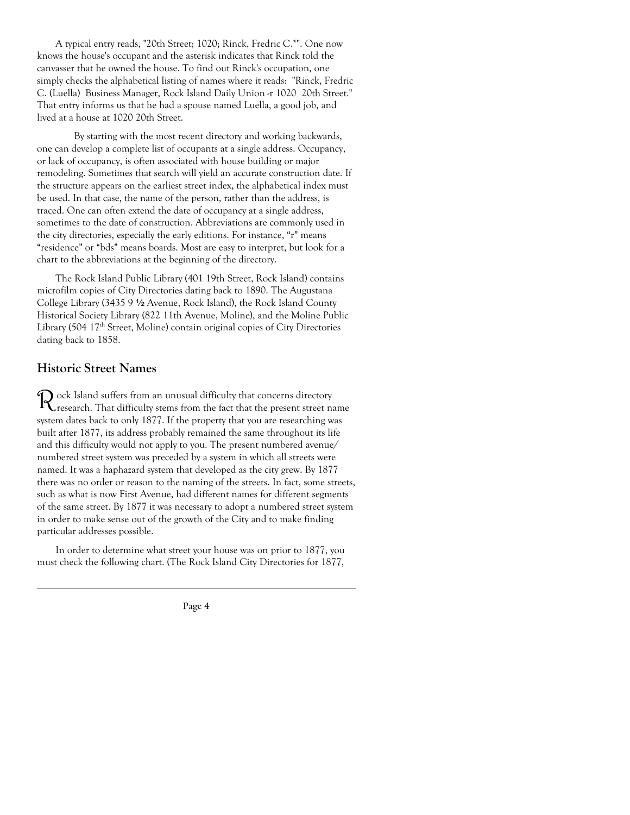A typical entry reads, "20th Street; 1020; Rinck, Fredric C.\*". One now knows the house's occupant and the asterisk indicates that Rinck told the canvasser that he owned the house. To find out Rinck's occupation, one simply checks the alphabetical listing of names where it reads: "Rinck, Fredric C. (Luella) Business Manager, Rock Island Daily Union -r 1020 20th Street." That entry informs us that he had a spouse named Luella, a good job, and lived at a house at 1020 20th Street.

 By starting with the most recent directory and working backwards, one can develop a complete list of occupants at a single address. Occupancy, or lack of occupancy, is often associated with house building or major remodeling. Sometimes that search will yield an accurate construction date. If the structure appears on the earliest street index, the alphabetical index must be used. In that case, the name of the person, rather than the address, is traced. One can often extend the date of occupancy at a single address, sometimes to the date of construction. Abbreviations are commonly used in the city directories, especially the early editions. For instance, "r" means "residence" or "bds" means boards. Most are easy to interpret, but look for a chart to the abbreviations at the beginning of the directory.

 The Rock Island Public Library (401 19th Street, Rock Island) contains microfilm copies of City Directories dating back to 1890. The Augustana College Library (3435 9 1/2 Avenue, Rock Island), the Rock Island County Historical Society Library (822 11th Avenue, Moline), and the Moline Public Library (504 17<sup>th</sup> Street, Moline) contain original copies of City Directories dating back to 1858.

### **Historic Street Names**

 $\mathcal R$  ock Island suffers from an unusual difficulty that concerns directory<br>Research. That difficulty stems from the fact that the present street name system dates back to only 1877. If the property that you are researching was built after 1877, its address probably remained the same throughout its life and this difficulty would not apply to you. The present numbered avenue/ numbered street system was preceded by a system in which all streets were named. It was a haphazard system that developed as the city grew. By 1877 there was no order or reason to the naming of the streets. In fact, some streets, such as what is now First Avenue, had different names for different segments of the same street. By 1877 it was necessary to adopt a numbered street system in order to make sense out of the growth of the City and to make finding particular addresses possible.

 In order to determine what street your house was on prior to 1877, you must check the following chart. (The Rock Island City Directories for 1877,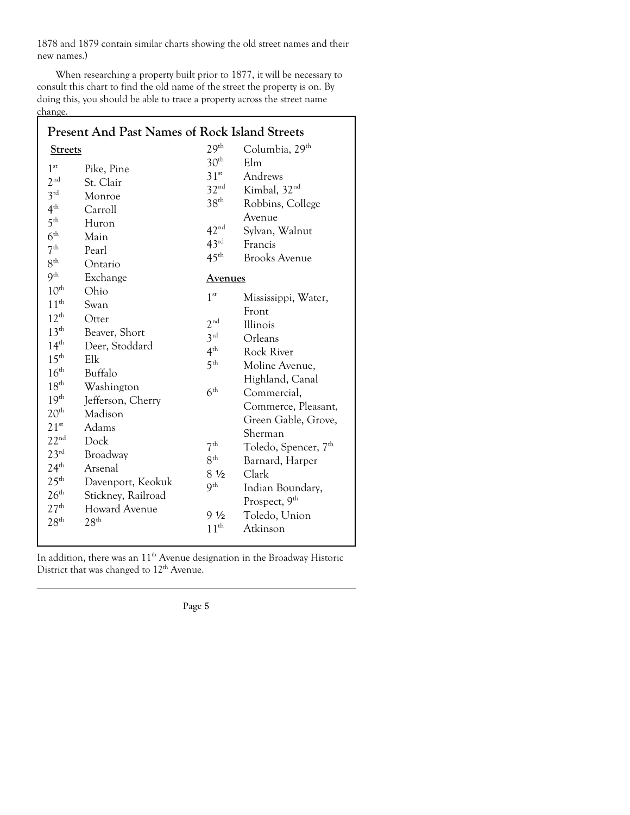1878 and 1879 contain similar charts showing the old street names and their new names.)

 When researching a property built prior to 1877, it will be necessary to consult this chart to find the old name of the street the property is on. By doing this, you should be able to trace a property across the street name change.

| <b>Present And Past Names of Rock Island Streets</b>                                                                                                                                                 |                                                                                                                          |                                                                                                                |                                                                                                                                                                              |  |
|------------------------------------------------------------------------------------------------------------------------------------------------------------------------------------------------------|--------------------------------------------------------------------------------------------------------------------------|----------------------------------------------------------------------------------------------------------------|------------------------------------------------------------------------------------------------------------------------------------------------------------------------------|--|
| <b>Streets</b>                                                                                                                                                                                       |                                                                                                                          | 29 <sup>th</sup>                                                                                               | Columbia, 29 <sup>th</sup>                                                                                                                                                   |  |
| 1 <sup>st</sup><br>2 <sup>nd</sup>                                                                                                                                                                   | Pike, Pine<br>St. Clair                                                                                                  | 30 <sup>th</sup><br>$31^{st}$                                                                                  | Elm<br>Andrews                                                                                                                                                               |  |
| 3 <sup>rd</sup><br>$4^{\text{th}}$<br>$5^{\text{th}}$<br>$6^{\text{th}}$<br>7 <sup>th</sup>                                                                                                          | Monroe<br>Carroll<br>Huron<br>Main<br>Pearl                                                                              | 32 <sup>nd</sup><br>$38^{\text{th}}$<br>42 <sup>nd</sup><br>$43^{\text{rd}}$                                   | Kimbal, 32 <sup>nd</sup><br>Robbins, College<br>Avenue<br>Sylvan, Walnut<br>Francis                                                                                          |  |
| $8^{\text{th}}$<br>9 <sup>th</sup>                                                                                                                                                                   | Ontario<br>Exchange                                                                                                      | $45^{\text{th}}$<br><u>Avenues</u>                                                                             | <b>Brooks Avenue</b>                                                                                                                                                         |  |
| $10^{\text{th}}$<br>$11^{\text{th}}$<br>$12^{\text{th}}$<br>13 <sup>th</sup><br>14 <sup>th</sup><br>$15^{\text{th}}$<br>$16^{\text{th}}$<br>$18^{\text{th}}$<br>19 <sup>th</sup><br>20 <sup>th</sup> | Ohio<br>Swan<br>Otter<br>Beaver, Short<br>Deer, Stoddard<br>Elk<br>Buffalo<br>Washington<br>Jefferson, Cherry<br>Madison | 1 <sup>st</sup><br>2 <sup>nd</sup><br>3 <sup>rd</sup><br>$4^{\text{th}}$<br>5 <sup>th</sup><br>$6^{\text{th}}$ | Mississippi, Water,<br>Front<br>Illinois<br>Orleans<br>Rock River<br>Moline Avenue,<br>Highland, Canal<br>Commercial,<br>Commerce, Pleasant,                                 |  |
| $21^{st}$<br>$22^{\text{nd}}$<br>$23^{\text{rd}}$<br>24 <sup>th</sup><br>$25^{\text{th}}$<br>26 <sup>th</sup><br>27 <sup>th</sup><br>28 <sup>th</sup>                                                | Adams<br>Dock<br>Broadway<br>Arsenal<br>Davenport, Keokuk<br>Stickney, Railroad<br>Howard Avenue<br>28 <sup>th</sup>     | $7^{\text{th}}$<br>8 <sup>th</sup><br>81/2<br>9 <sup>th</sup><br>$9\frac{1}{2}$<br>11 <sup>th</sup>            | Green Gable, Grove,<br>Sherman<br>Toledo, Spencer, 7 <sup>th</sup><br>Barnard, Harper<br>Clark<br>Indian Boundary,<br>Prospect, 9 <sup>th</sup><br>Toledo, Union<br>Atkinson |  |

In addition, there was an  $11^{\text{th}}$  Avenue designation in the Broadway Historic District that was changed to 12<sup>th</sup> Avenue.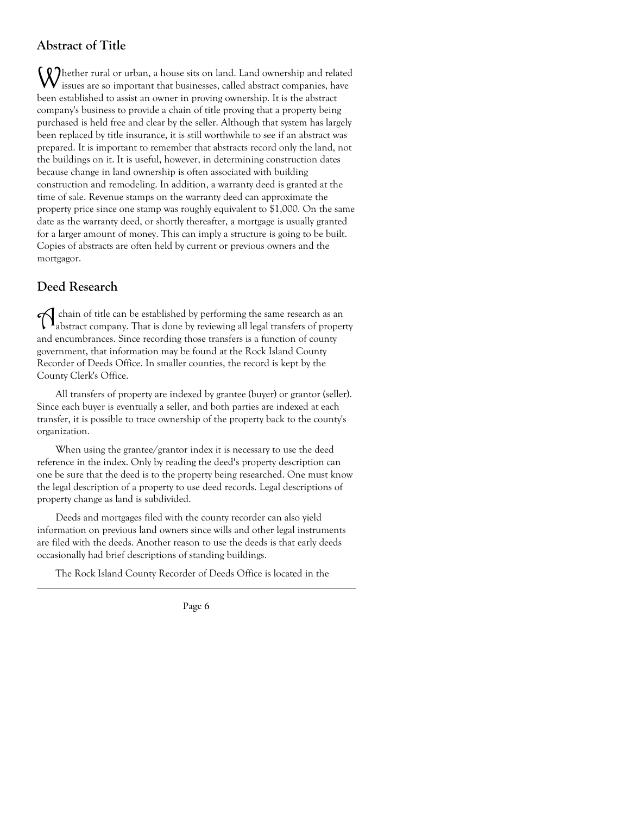# **Abstract of Title**

**CO** hether rural or urban, a house sits on land. Land ownership and related issues are so important that businesses, called abstract companies, have been established to assist an owner in proving ownership. It is the abstract company's business to provide a chain of title proving that a property being purchased is held free and clear by the seller. Although that system has largely been replaced by title insurance, it is still worthwhile to see if an abstract was prepared. It is important to remember that abstracts record only the land, not the buildings on it. It is useful, however, in determining construction dates because change in land ownership is often associated with building construction and remodeling. In addition, a warranty deed is granted at the time of sale. Revenue stamps on the warranty deed can approximate the property price since one stamp was roughly equivalent to \$1,000. On the same date as the warranty deed, or shortly thereafter, a mortgage is usually granted for a larger amount of money. This can imply a structure is going to be built. Copies of abstracts are often held by current or previous owners and the mortgagor.

# **Deed Research**

A chain of title can be established by performing the same research as an abstract company. That is done by reviewing all legal transfers of property and encumbrances. Since recording those transfers is a function of county government, that information may be found at the Rock Island County Recorder of Deeds Office. In smaller counties, the record is kept by the County Clerk's Office.

 All transfers of property are indexed by grantee (buyer) or grantor (seller). Since each buyer is eventually a seller, and both parties are indexed at each transfer, it is possible to trace ownership of the property back to the county's organization.

 When using the grantee/grantor index it is necessary to use the deed reference in the index. Only by reading the deed's property description can one be sure that the deed is to the property being researched. One must know the legal description of a property to use deed records. Legal descriptions of property change as land is subdivided.

 Deeds and mortgages filed with the county recorder can also yield information on previous land owners since wills and other legal instruments are filed with the deeds. Another reason to use the deeds is that early deeds occasionally had brief descriptions of standing buildings.

The Rock Island County Recorder of Deeds Office is located in the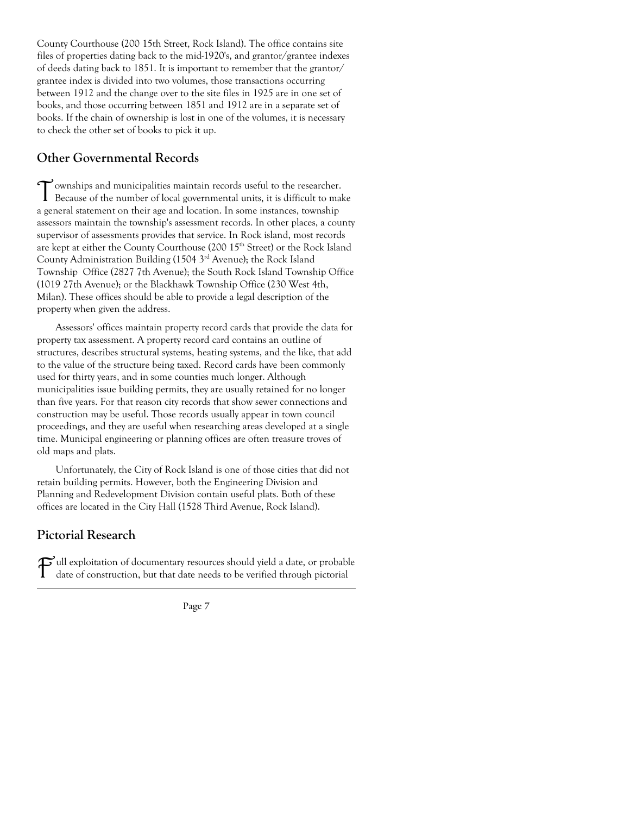County Courthouse (200 15th Street, Rock Island). The office contains site files of properties dating back to the mid-1920's, and grantor/grantee indexes of deeds dating back to 1851. It is important to remember that the grantor/ grantee index is divided into two volumes, those transactions occurring between 1912 and the change over to the site files in 1925 are in one set of books, and those occurring between 1851 and 1912 are in a separate set of books. If the chain of ownership is lost in one of the volumes, it is necessary to check the other set of books to pick it up.

# **Other Governmental Records**

Townships and municipalities maintain records useful to the researcher. Because of the number of local governmental units, it is difficult to make a general statement on their age and location. In some instances, township assessors maintain the township's assessment records. In other places, a county supervisor of assessments provides that service. In Rock island, most records are kept at either the County Courthouse (200 15<sup>th</sup> Street) or the Rock Island County Administration Building (1504 3rd Avenue); the Rock Island Township Office (2827 7th Avenue); the South Rock Island Township Office (1019 27th Avenue); or the Blackhawk Township Office (230 West 4th, Milan). These offices should be able to provide a legal description of the property when given the address.

 Assessors' offices maintain property record cards that provide the data for property tax assessment. A property record card contains an outline of structures, describes structural systems, heating systems, and the like, that add to the value of the structure being taxed. Record cards have been commonly used for thirty years, and in some counties much longer. Although municipalities issue building permits, they are usually retained for no longer than five years. For that reason city records that show sewer connections and construction may be useful. Those records usually appear in town council proceedings, and they are useful when researching areas developed at a single time. Municipal engineering or planning offices are often treasure troves of old maps and plats.

 Unfortunately, the City of Rock Island is one of those cities that did not retain building permits. However, both the Engineering Division and Planning and Redevelopment Division contain useful plats. Both of these offices are located in the City Hall (1528 Third Avenue, Rock Island).

# **Pictorial Research**

Full exploitation of documentary resources should yield a date, or probable<br>date of construction, but that data with the date of date of construction, but that date needs to be verified through pictorial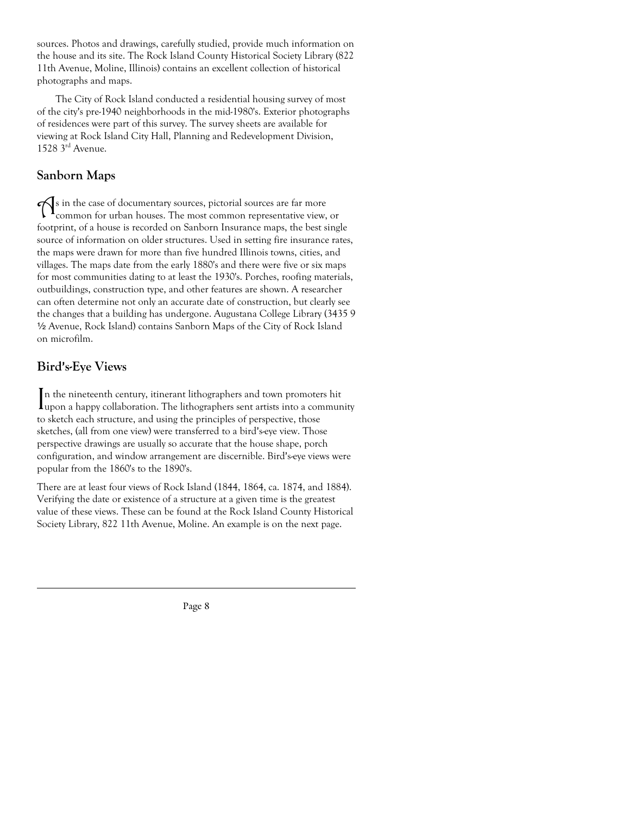sources. Photos and drawings, carefully studied, provide much information on the house and its site. The Rock Island County Historical Society Library (822 11th Avenue, Moline, Illinois) contains an excellent collection of historical photographs and maps.

 The City of Rock Island conducted a residential housing survey of most of the city's pre-1940 neighborhoods in the mid-1980's. Exterior photographs of residences were part of this survey. The survey sheets are available for viewing at Rock Island City Hall, Planning and Redevelopment Division, 1528 3rd Avenue.

# **Sanborn Maps**

As in the case of documentary sources, pictorial sources are far more common for urban houses. The most common representative view, or footprint, of a house is recorded on Sanborn Insurance maps, the best single source of information on older structures. Used in setting fire insurance rates, the maps were drawn for more than five hundred Illinois towns, cities, and villages. The maps date from the early 1880's and there were five or six maps for most communities dating to at least the 1930's. Porches, roofing materials, outbuildings, construction type, and other features are shown. A researcher can often determine not only an accurate date of construction, but clearly see the changes that a building has undergone. Augustana College Library (3435 9 2 Avenue, Rock Island) contains Sanborn Maps of the City of Rock Island on microfilm.

# **Bird's-Eye Views**

In the nineteenth century, itinerant lithographers and town promoters hit upon a happy collaboration. The lithographers sent artists into a community n the nineteenth century, itinerant lithographers and town promoters hit to sketch each structure, and using the principles of perspective, those sketches, (all from one view) were transferred to a bird's-eye view. Those perspective drawings are usually so accurate that the house shape, porch configuration, and window arrangement are discernible. Bird's-eye views were popular from the 1860's to the 1890's.

There are at least four views of Rock Island (1844, 1864, ca. 1874, and 1884). Verifying the date or existence of a structure at a given time is the greatest value of these views. These can be found at the Rock Island County Historical Society Library, 822 11th Avenue, Moline. An example is on the next page.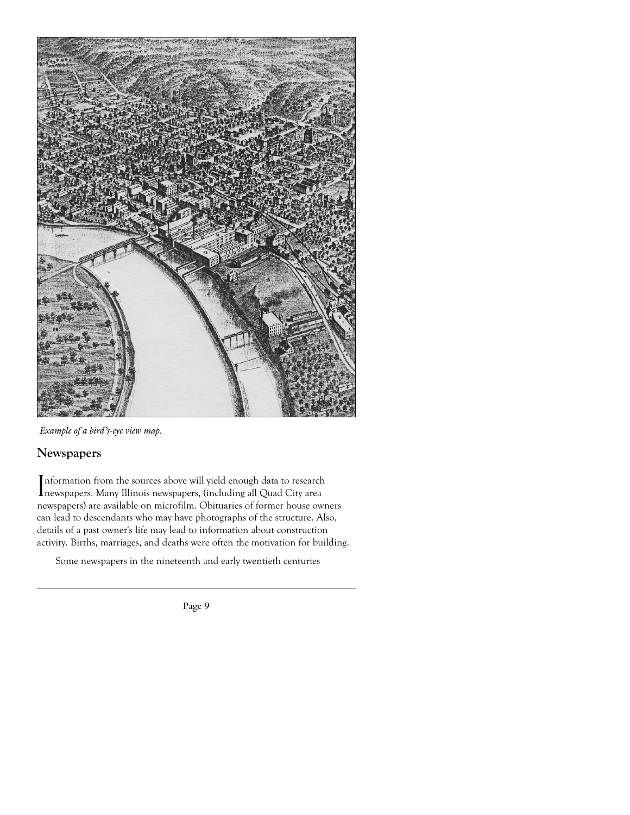

*Example of a bird's-eye view map.* 

# **Newspapers**

Information from the sources above will yield enough data to research<br>Inewspapers. Many Illinois newspapers, (including all Quad City area newspapers. Many Illinois newspapers, (including all Quad City area newspapers) are available on microfilm. Obituaries of former house owners can lead to descendants who may have photographs of the structure. Also, details of a past owner's life may lead to information about construction activity. Births, marriages, and deaths were often the motivation for building.

Some newspapers in the nineteenth and early twentieth centuries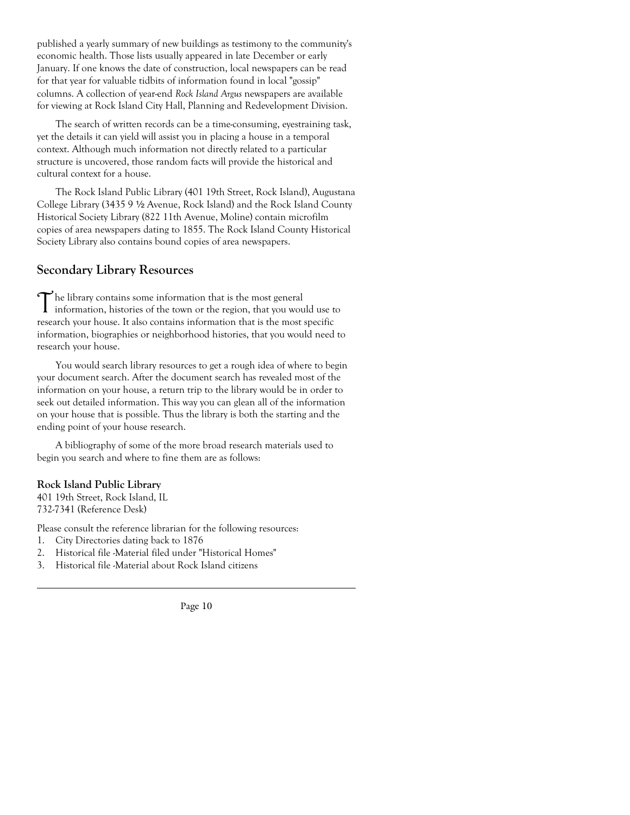published a yearly summary of new buildings as testimony to the community's economic health. Those lists usually appeared in late December or early January. If one knows the date of construction, local newspapers can be read for that year for valuable tidbits of information found in local "gossip" columns. A collection of year-end *Rock Island Argus* newspapers are available for viewing at Rock Island City Hall, Planning and Redevelopment Division.

 The search of written records can be a time-consuming, eyestraining task, yet the details it can yield will assist you in placing a house in a temporal context. Although much information not directly related to a particular structure is uncovered, those random facts will provide the historical and cultural context for a house.

 The Rock Island Public Library (401 19th Street, Rock Island), Augustana College Library (3435 9 1/2 Avenue, Rock Island) and the Rock Island County Historical Society Library (822 11th Avenue, Moline) contain microfilm copies of area newspapers dating to 1855. The Rock Island County Historical Society Library also contains bound copies of area newspapers.

### **Secondary Library Resources**

The library contains some information that is the most general<br>information, histories of the town or the region, that you would use to research your house. It also contains information that is the most specific information, biographies or neighborhood histories, that you would need to research your house.

 You would search library resources to get a rough idea of where to begin your document search. After the document search has revealed most of the information on your house, a return trip to the library would be in order to seek out detailed information. This way you can glean all of the information on your house that is possible. Thus the library is both the starting and the ending point of your house research.

 A bibliography of some of the more broad research materials used to begin you search and where to fine them are as follows:

### **Rock Island Public Library**

401 19th Street, Rock Island, IL 732-7341 (Reference Desk)

Please consult the reference librarian for the following resources:

- 1. City Directories dating back to 1876
- 2. Historical file -Material filed under "Historical Homes"
- 3. Historical file -Material about Rock Island citizens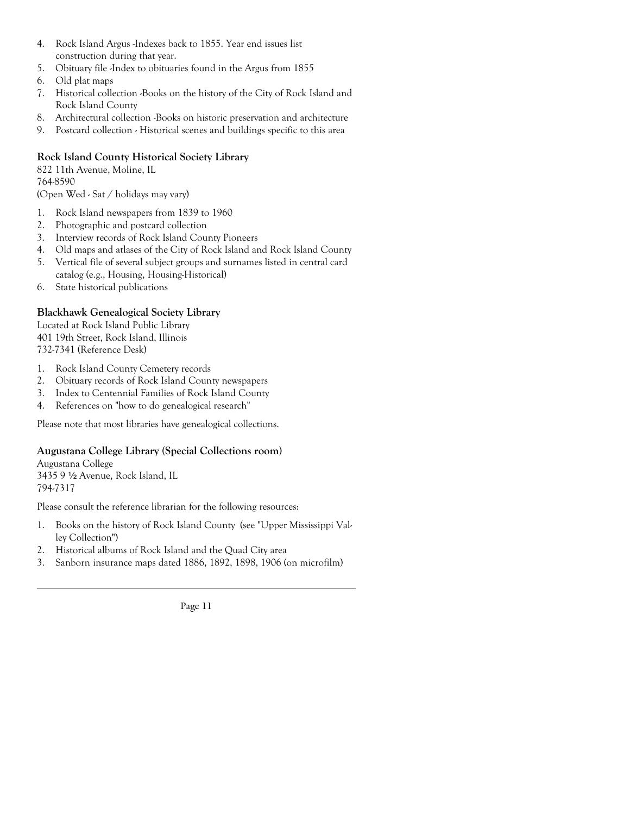- 4. Rock Island Argus -Indexes back to 1855. Year end issues list construction during that year.
- 5. Obituary file -Index to obituaries found in the Argus from 1855
- 6. Old plat maps
- 7. Historical collection -Books on the history of the City of Rock Island and Rock Island County
- 8. Architectural collection -Books on historic preservation and architecture
- 9. Postcard collection Historical scenes and buildings specific to this area

### **Rock Island County Historical Society Library**

822 11th Avenue, Moline, IL 764-8590 (Open Wed - Sat / holidays may vary)

- 1. Rock Island newspapers from 1839 to 1960
- 2. Photographic and postcard collection
- 3. Interview records of Rock Island County Pioneers
- 4. Old maps and atlases of the City of Rock Island and Rock Island County
- 5. Vertical file of several subject groups and surnames listed in central card catalog (e.g., Housing, Housing-Historical)
- 6. State historical publications

### **Blackhawk Genealogical Society Library**

Located at Rock Island Public Library 401 19th Street, Rock Island, Illinois 732-7341 (Reference Desk)

- 1. Rock Island County Cemetery records
- 2. Obituary records of Rock Island County newspapers
- 3. Index to Centennial Families of Rock Island County
- 4. References on "how to do genealogical research"

Please note that most libraries have genealogical collections.

### **Augustana College Library (Special Collections room)**

Augustana College 3435 9 2 Avenue, Rock Island, IL 794-7317

Please consult the reference librarian for the following resources:

- 1. Books on the history of Rock Island County (see "Upper Mississippi Val ley Collection")
- 2. Historical albums of Rock Island and the Quad City area
- 3. Sanborn insurance maps dated 1886, 1892, 1898, 1906 (on microfilm)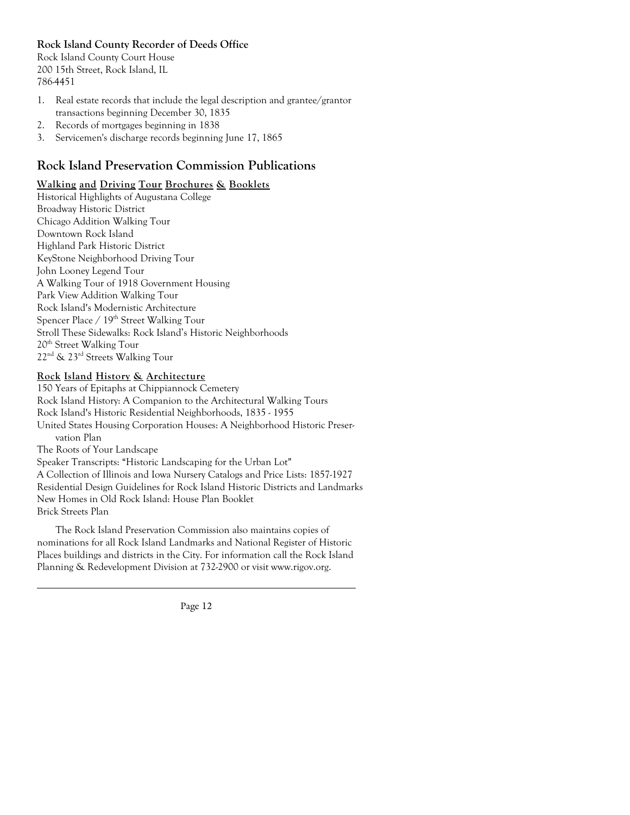**Rock Island County Recorder of Deeds Office** 

Rock Island County Court House 200 15th Street, Rock Island, IL 786-4451

- 1. Real estate records that include the legal description and grantee/grantor transactions beginning December 30, 1835
- 2. Records of mortgages beginning in 1838
- 3. Servicemen's discharge records beginning June 17, 1865

# **Rock Island Preservation Commission Publications**

### **Walking and Driving Tour Brochures & Booklets**

Historical Highlights of Augustana College Broadway Historic District Chicago Addition Walking Tour Downtown Rock Island Highland Park Historic District KeyStone Neighborhood Driving Tour John Looney Legend Tour A Walking Tour of 1918 Government Housing Park View Addition Walking Tour Rock Island's Modernistic Architecture Spencer Place / 19<sup>th</sup> Street Walking Tour Stroll These Sidewalks: Rock Island's Historic Neighborhoods 20th Street Walking Tour 22nd & 23rd Streets Walking Tour

### **Rock Island History & Architecture**

150 Years of Epitaphs at Chippiannock Cemetery Rock Island History: A Companion to the Architectural Walking Tours Rock Island's Historic Residential Neighborhoods, 1835 - 1955 United States Housing Corporation Houses: A Neighborhood Historic Preser vation Plan The Roots of Your Landscape Speaker Transcripts: "Historic Landscaping for the Urban Lot" A Collection of Illinois and Iowa Nursery Catalogs and Price Lists: 1857-1927 Residential Design Guidelines for Rock Island Historic Districts and Landmarks New Homes in Old Rock Island: House Plan Booklet Brick Streets Plan

 The Rock Island Preservation Commission also maintains copies of nominations for all Rock Island Landmarks and National Register of Historic Places buildings and districts in the City. For information call the Rock Island Planning & Redevelopment Division at 732-2900 or visit www.rigov.org.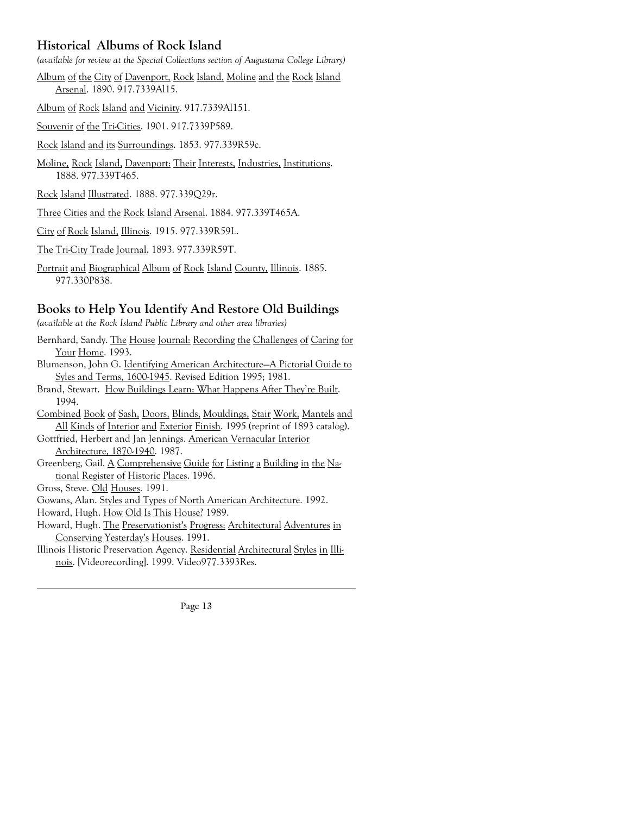# **Historical Albums of Rock Island**

*(available for review at the Special Collections section of Augustana College Library)*

Album of the City of Davenport, Rock Island, Moline and the Rock Island Arsenal. 1890. 917.7339Al15.

Album of Rock Island and Vicinity. 917.7339Al151.

Souvenir of the Tri-Cities. 1901. 917.7339P589.

Rock Island and its Surroundings. 1853. 977.339R59c.

- Moline, Rock Island, Davenport: Their Interests, Industries, Institutions. 1888. 977.339T465.
- Rock Island Illustrated. 1888. 977.339Q29r.
- Three Cities and the Rock Island Arsenal. 1884. 977.339T465A.
- City of Rock Island, Illinois. 1915. 977.339R59L.
- The Tri-City Trade Journal. 1893. 977.339R59T.
- Portrait and Biographical Album of Rock Island County, Illinois. 1885. 977.330P838.

### **Books to Help You Identify And Restore Old Buildings**

*(available at the Rock Island Public Library and other area libraries)* 

Bernhard, Sandy. The House Journal: Recording the Challenges of Caring for Your Home. 1993. Blumenson, John G. Identifying American Architecture—A Pictorial Guide to Syles and Terms, 1600-1945. Revised Edition 1995; 1981. Brand, Stewart. How Buildings Learn: What Happens After They're Built. 1994. Combined Book of Sash, Doors, Blinds, Mouldings, Stair Work, Mantels and All Kinds of Interior and Exterior Finish. 1995 (reprint of 1893 catalog). Gottfried, Herbert and Jan Jennings. American Vernacular Interior Architecture, 1870-1940. 1987. Greenberg, Gail. A Comprehensive Guide for Listing a Building in the Na tional Register of Historic Places. 1996. Gross, Steve. Old Houses. 1991. Gowans, Alan. Styles and Types of North American Architecture. 1992. Howard, Hugh. How Old Is This House? 1989. Howard, Hugh. The Preservationist's Progress: Architectural Adventures in Conserving Yesterday's Houses. 1991. Illinois Historic Preservation Agency. Residential Architectural Styles in Illi nois. [Videorecording]. 1999. Video977.3393Res.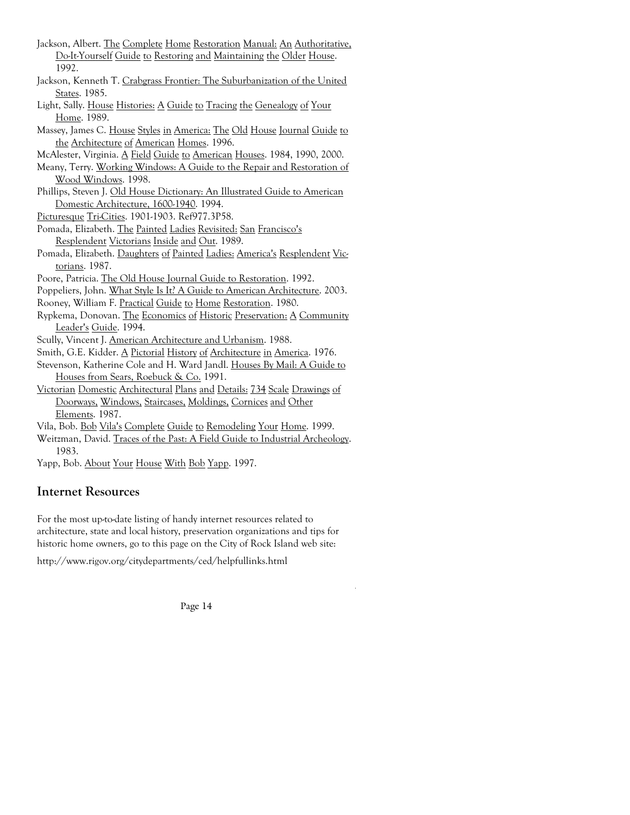- Jackson, Albert. The Complete Home Restoration Manual: An Authoritative, Do-It-Yourself Guide to Restoring and Maintaining the Older House. 1992.
- Jackson, Kenneth T. Crabgrass Frontier: The Suburbanization of the United States. 1985.
- Light, Sally. House Histories: A Guide to Tracing the Genealogy of Your Home. 1989.
- Massey, James C. House Styles in America: The Old House Journal Guide to the Architecture of American Homes. 1996.
- McAlester, Virginia. A Field Guide to American Houses. 1984, 1990, 2000.
- Meany, Terry. Working Windows: A Guide to the Repair and Restoration of Wood Windows. 1998.
- Phillips, Steven J. Old House Dictionary: An Illustrated Guide to American Domestic Architecture, 1600-1940. 1994.
- Picturesque Tri-Cities. 1901-1903. Ref977.3P58.
- Pomada, Elizabeth. The Painted Ladies Revisited: San Francisco's Resplendent Victorians Inside and Out. 1989.
- Pomada, Elizabeth. Daughters of Painted Ladies: America's Resplendent Victorians. 1987.
- Poore, Patricia. The Old House Journal Guide to Restoration. 1992.
- Poppeliers, John. What Style Is It? A Guide to American Architecture. 2003.
- Rooney, William F. Practical Guide to Home Restoration. 1980.
- Rypkema, Donovan. The Economics of Historic Preservation: A Community Leader's Guide. 1994.
- Scully, Vincent J. American Architecture and Urbanism. 1988.
- Smith, G.E. Kidder. A Pictorial History of Architecture in America. 1976.
- Stevenson, Katherine Cole and H. Ward Jandl. Houses By Mail: A Guide to Houses from Sears, Roebuck & Co. 1991.
- Victorian Domestic Architectural Plans and Details: 734 Scale Drawings of Doorways, Windows, Staircases, Moldings, Cornices and Other Elements. 1987.
- Vila, Bob. Bob Vila's Complete Guide to Remodeling Your Home. 1999.
- Weitzman, David. Traces of the Past: A Field Guide to Industrial Archeology. 1983.
- Yapp, Bob. About Your House With Bob Yapp. 1997.

# **Internet Resources**

For the most up-to-date listing of handy internet resources related to architecture, state and local history, preservation organizations and tips for historic home owners, go to this page on the City of Rock Island web site:

http://www.rigov.org/citydepartments/ced/helpfullinks.html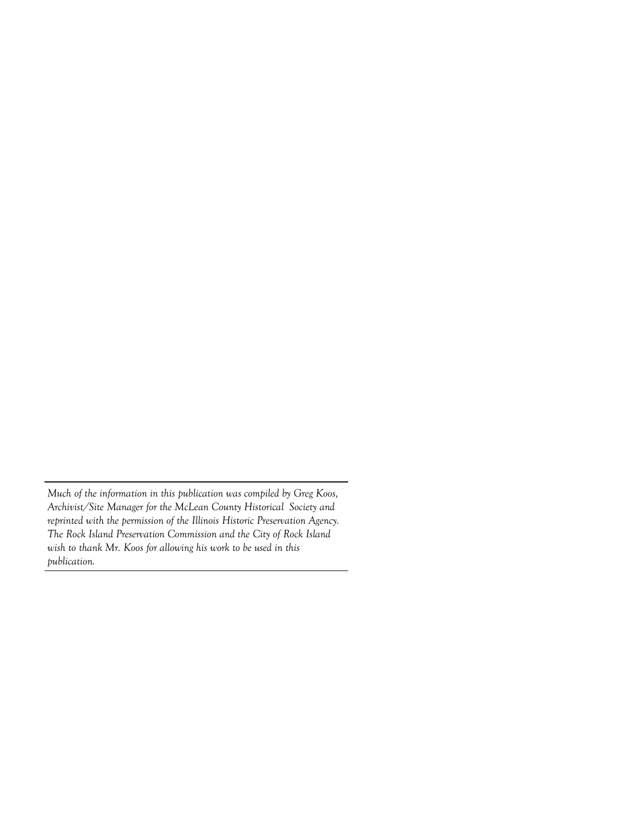*Much of the information in this publication was compiled by Greg Koos, Archivist/Site Manager for the McLean County Historical Society and reprinted with the permission of the Illinois Historic Preservation Agency. The Rock Island Preservation Commission and the City of Rock Island wish to thank Mr. Koos for allowing his work to be used in this publication.*